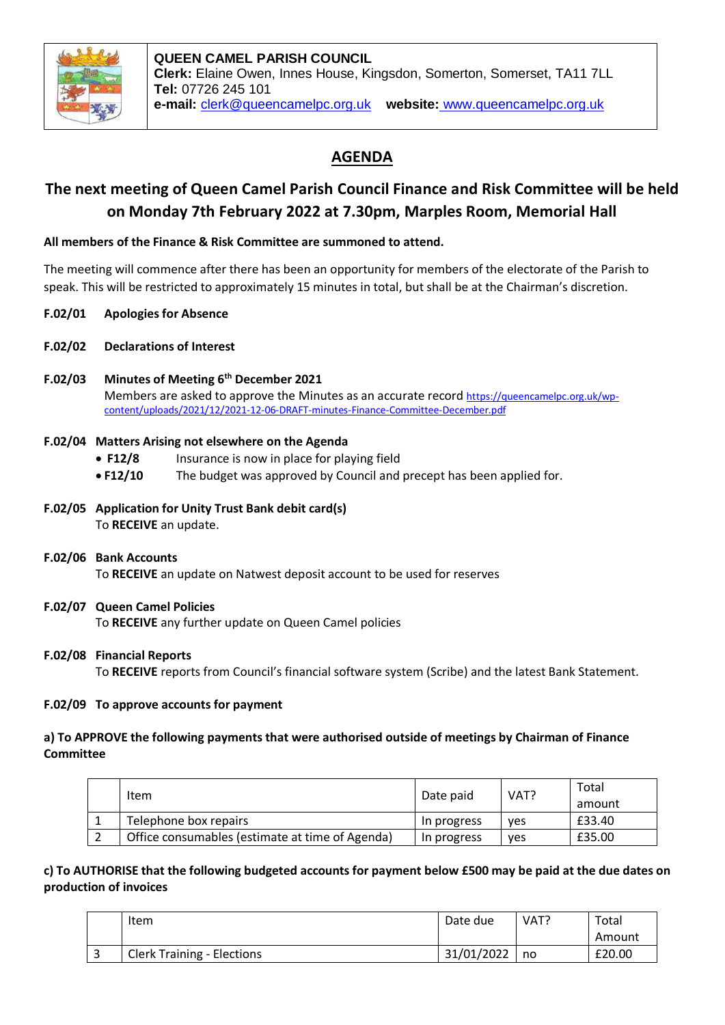

# **AGENDA**

# **The next meeting of Queen Camel Parish Council Finance and Risk Committee will be held on Monday 7th February 2022 at 7.30pm, Marples Room, Memorial Hall**

# **All members of the Finance & Risk Committee are summoned to attend.**

The meeting will commence after there has been an opportunity for members of the electorate of the Parish to speak. This will be restricted to approximately 15 minutes in total, but shall be at the Chairman's discretion.

- **F.02/01 Apologies for Absence**
- **F.02/02 Declarations of Interest**
- **F.02/03 Minutes of Meeting 6th December 2021** Members are asked to approve the Minutes as an accurate record [https://queencamelpc.org.uk/wp](https://queencamelpc.org.uk/wp-content/uploads/2021/12/2021-12-06-DRAFT-minutes-Finance-Committee-December.pdf)[content/uploads/2021/12/2021-12-06-DRAFT-minutes-Finance-Committee-December.pdf](https://queencamelpc.org.uk/wp-content/uploads/2021/12/2021-12-06-DRAFT-minutes-Finance-Committee-December.pdf)

### **F.02/04 Matters Arising not elsewhere on the Agenda**

- **F12/8** Insurance is now in place for playing field
- **F12/10** The budget was approved by Council and precept has been applied for.
- **F.02/05 Application for Unity Trust Bank debit card(s)** To **RECEIVE** an update.
- **F.02/06 Bank Accounts**

To **RECEIVE** an update on Natwest deposit account to be used for reserves

# **F.02/07 Queen Camel Policies**

To **RECEIVE** any further update on Queen Camel policies

#### **F.02/08 Financial Reports**

To **RECEIVE** reports from Council's financial software system (Scribe) and the latest Bank Statement.

#### **F.02/09 To approve accounts for payment**

### **a) To APPROVE the following payments that were authorised outside of meetings by Chairman of Finance Committee**

| Item                                            | Date paid   | VAT?       | Total<br>amount |
|-------------------------------------------------|-------------|------------|-----------------|
| Telephone box repairs                           | In progress | <b>ves</b> | £33.40          |
| Office consumables (estimate at time of Agenda) | In progress | <b>ves</b> | £35.00          |

# **c) To AUTHORISE that the following budgeted accounts for payment below £500 may be paid at the due dates on production of invoices**

|   | Item                              | Date due   | VAT? | Total  |
|---|-----------------------------------|------------|------|--------|
|   |                                   |            |      | Amount |
| ے | <b>Clerk Training - Elections</b> | 31/01/2022 | no   | £20.00 |